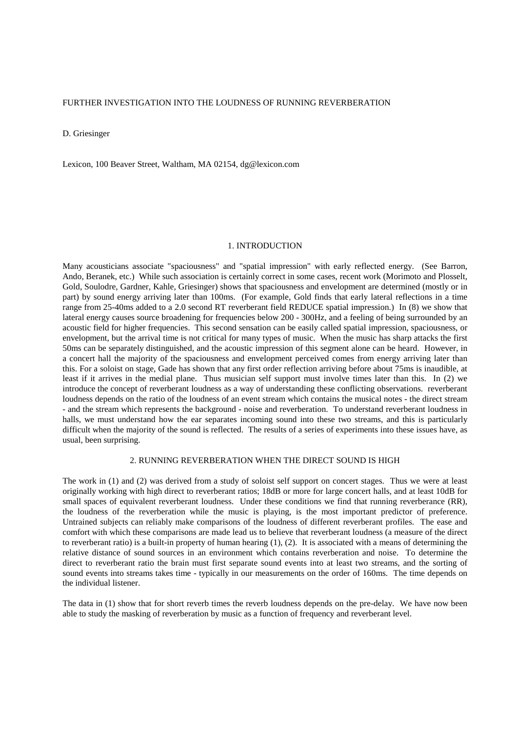D. Griesinger

Lexicon, 100 Beaver Street, Waltham, MA 02154, dg@lexicon.com

#### 1. INTRODUCTION

Many acousticians associate "spaciousness" and "spatial impression" with early reflected energy. (See Barron, Ando, Beranek, etc.) While such association is certainly correct in some cases, recent work (Morimoto and Plosselt, Gold, Soulodre, Gardner, Kahle, Griesinger) shows that spaciousness and envelopment are determined (mostly or in part) by sound energy arriving later than 100ms. (For example, Gold finds that early lateral reflections in a time range from 25-40ms added to a 2.0 second RT reverberant field REDUCE spatial impression.) In (8) we show that lateral energy causes source broadening for frequencies below 200 - 300Hz, and a feeling of being surrounded by an acoustic field for higher frequencies. This second sensation can be easily called spatial impression, spaciousness, or envelopment, but the arrival time is not critical for many types of music. When the music has sharp attacks the first 50ms can be separately distinguished, and the acoustic impression of this segment alone can be heard. However, in a concert hall the majority of the spaciousness and envelopment perceived comes from energy arriving later than this. For a soloist on stage, Gade has shown that any first order reflection arriving before about 75ms is inaudible, at least if it arrives in the medial plane. Thus musician self support must involve times later than this. In (2) we introduce the concept of reverberant loudness as a way of understanding these conflicting observations. reverberant loudness depends on the ratio of the loudness of an event stream which contains the musical notes - the direct stream - and the stream which represents the background - noise and reverberation. To understand reverberant loudness in halls, we must understand how the ear separates incoming sound into these two streams, and this is particularly difficult when the majority of the sound is reflected. The results of a series of experiments into these issues have, as usual, been surprising.

### 2. RUNNING REVERBERATION WHEN THE DIRECT SOUND IS HIGH

The work in (1) and (2) was derived from a study of soloist self support on concert stages. Thus we were at least originally working with high direct to reverberant ratios; 18dB or more for large concert halls, and at least 10dB for small spaces of equivalent reverberant loudness. Under these conditions we find that running reverberance (RR), the loudness of the reverberation while the music is playing, is the most important predictor of preference. Untrained subjects can reliably make comparisons of the loudness of different reverberant profiles. The ease and comfort with which these comparisons are made lead us to believe that reverberant loudness (a measure of the direct to reverberant ratio) is a built-in property of human hearing (1), (2). It is associated with a means of determining the relative distance of sound sources in an environment which contains reverberation and noise. To determine the direct to reverberant ratio the brain must first separate sound events into at least two streams, and the sorting of sound events into streams takes time - typically in our measurements on the order of 160ms. The time depends on the individual listener.

The data in (1) show that for short reverb times the reverb loudness depends on the pre-delay. We have now been able to study the masking of reverberation by music as a function of frequency and reverberant level.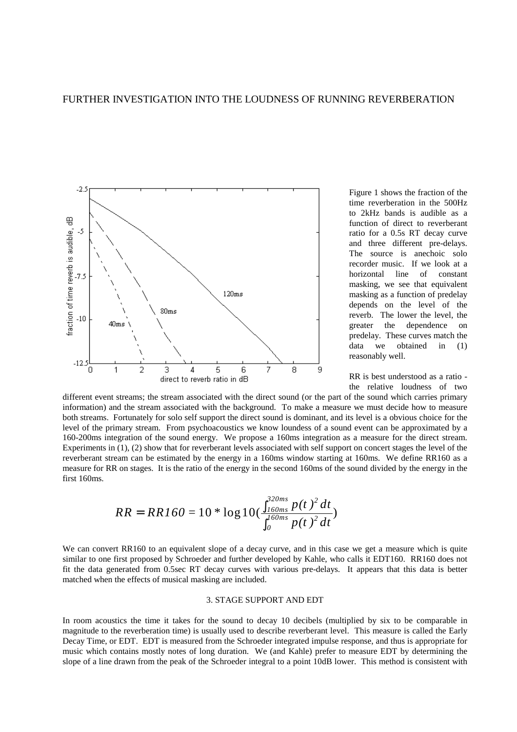

Figure 1 shows the fraction of the time reverberation in the 500Hz to 2kHz bands is audible as a function of direct to reverberant ratio for a 0.5s RT decay curve and three different pre-delays. The source is anechoic solo recorder music. If we look at a horizontal line of constant masking, we see that equivalent masking as a function of predelay depends on the level of the reverb. The lower the level, the greater the dependence on predelay. These curves match the data we obtained in (1) reasonably well.

RR is best understood as a ratio the relative loudness of two

different event streams; the stream associated with the direct sound (or the part of the sound which carries primary information) and the stream associated with the background. To make a measure we must decide how to measure both streams. Fortunately for solo self support the direct sound is dominant, and its level is a obvious choice for the level of the primary stream. From psychoacoustics we know loundess of a sound event can be approximated by a 160-200ms integration of the sound energy. We propose a 160ms integration as a measure for the direct stream. Experiments in (1), (2) show that for reverberant levels associated with self support on concert stages the level of the reverberant stream can be estimated by the energy in a 160ms window starting at 160ms. We define RR160 as a measure for RR on stages. It is the ratio of the energy in the second 160ms of the sound divided by the energy in the first 160ms.

$$
RR = RR160 = 10 * \log 10 (\frac{\int_{160ms}^{320ms} p(t)^2 dt}{\int_{0}^{160ms} p(t)^2 dt})
$$

We can convert RR160 to an equivalent slope of a decay curve, and in this case we get a measure which is quite similar to one first proposed by Schroeder and further developed by Kahle, who calls it EDT160. RR160 does not fit the data generated from 0.5sec RT decay curves with various pre-delays. It appears that this data is better matched when the effects of musical masking are included.

### 3. STAGE SUPPORT AND EDT

In room acoustics the time it takes for the sound to decay 10 decibels (multiplied by six to be comparable in magnitude to the reverberation time) is usually used to describe reverberant level. This measure is called the Early Decay Time, or EDT. EDT is measured from the Schroeder integrated impulse response, and thus is appropriate for music which contains mostly notes of long duration. We (and Kahle) prefer to measure EDT by determining the slope of a line drawn from the peak of the Schroeder integral to a point 10dB lower. This method is consistent with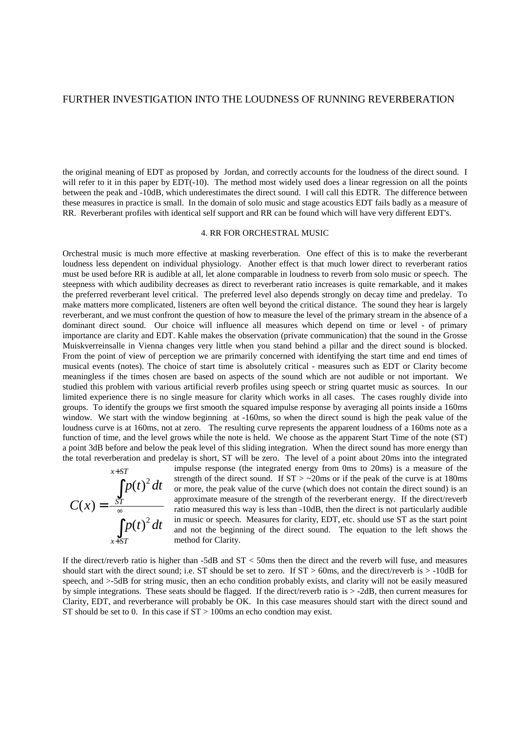the original meaning of EDT as proposed by Jordan, and correctly accounts for the loudness of the direct sound. I will refer to it in this paper by EDT(-10). The method most widely used does a linear regression on all the points between the peak and -10dB, which underestimates the direct sound. I will call this EDTR. The difference between these measures in practice is small. In the domain of solo music and stage acoustics EDT fails badly as a measure of RR. Reverberant profiles with identical self support and RR can be found which will have very different EDT's.

### 4. RR FOR ORCHESTRAL MUSIC

Orchestral music is much more effective at masking reverberation. One effect of this is to make the reverberant loudness less dependent on individual physiology. Another effect is that much lower direct to reverberant ratios must be used before RR is audible at all, let alone comparable in loudness to reverb from solo music or speech. The steepness with which audibility decreases as direct to reverberant ratio increases is quite remarkable, and it makes the preferred reverberant level critical. The preferred level also depends strongly on decay time and predelay. To make matters more complicated, listeners are often well beyond the critical distance. The sound they hear is largely reverberant, and we must confront the question of how to measure the level of the primary stream in the absence of a dominant direct sound. Our choice will influence all measures which depend on time or level - of primary importance are clarity and EDT. Kahle makes the observation (private communication) that the sound in the Grosse Muiskverreinsalle in Vienna changes very little when you stand behind a pillar and the direct sound is blocked. From the point of view of perception we are primarily concerned with identifying the start time and end times of musical events (notes). The choice of start time is absolutely critical - measures such as EDT or Clarity become meaningless if the times chosen are based on aspects of the sound which are not audible or not important. We studied this problem with various artificial reverb profiles using speech or string quartet music as sources. In our limited experience there is no single measure for clarity which works in all cases. The cases roughly divide into groups. To identify the groups we first smooth the squared impulse response by averaging all points inside a 160ms window. We start with the window beginning at -160ms, so when the direct sound is high the peak value of the loudness curve is at 160ms, not at zero. The resulting curve represents the apparent loudness of a 160ms note as a function of time, and the level grows while the note is held. We choose as the apparent Start Time of the note (ST) a point 3dB before and below the peak level of this sliding integration. When the direct sound has more energy than the total reverberation and predelay is short, ST will be zero. The level of a point about 20ms into the integrated



impulse response (the integrated energy from 0ms to 20ms) is a measure of the strength of the direct sound. If  $ST > -20$ ms or if the peak of the curve is at 180ms or more, the peak value of the curve (which does not contain the direct sound) is an approximate measure of the strength of the reverberant energy. If the direct/reverb ratio measured this way is less than -10dB, then the direct is not particularly audible in music or speech. Measures for clarity, EDT, etc. should use ST as the start point and not the beginning of the direct sound. The equation to the left shows the method for Clarity.

If the direct/reverb ratio is higher than -5dB and ST < 50ms then the direct and the reverb will fuse, and measures should start with the direct sound; i.e. ST should be set to zero. If  $ST > 60$ ms, and the direct/reverb is  $> -10$ dB for speech, and >-5dB for string music, then an echo condition probably exists, and clarity will not be easily measured by simple integrations. These seats should be flagged. If the direct/reverb ratio is > -2dB, then current measures for Clarity, EDT, and reverberance will probably be OK. In this case measures should start with the direct sound and ST should be set to 0. In this case if  $ST > 100$ ms an echo condtion may exist.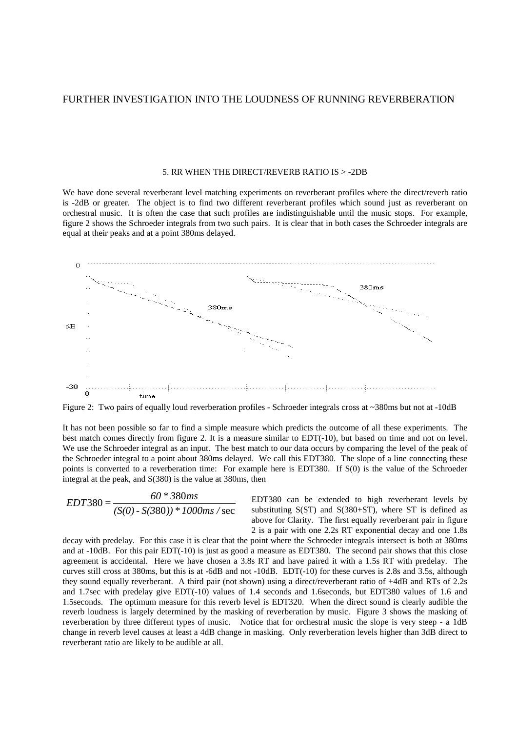#### 5. RR WHEN THE DIRECT/REVERB RATIO IS > -2DB

We have done several reverberant level matching experiments on reverberant profiles where the direct/reverb ratio is -2dB or greater. The object is to find two different reverberant profiles which sound just as reverberant on orchestral music. It is often the case that such profiles are indistinguishable until the music stops. For example, figure 2 shows the Schroeder integrals from two such pairs. It is clear that in both cases the Schroeder integrals are equal at their peaks and at a point 380ms delayed.



Figure 2: Two pairs of equally loud reverberation profiles - Schroeder integrals cross at ~380ms but not at -10dB

It has not been possible so far to find a simple measure which predicts the outcome of all these experiments. The best match comes directly from figure 2. It is a measure similar to EDT(-10), but based on time and not on level. We use the Schroeder integral as an input. The best match to our data occurs by comparing the level of the peak of the Schroeder integral to a point about 380ms delayed. We call this EDT380. The slope of a line connecting these points is converted to a reverberation time: For example here is EDT380. If S(0) is the value of the Schroeder integral at the peak, and S(380) is the value at 380ms, then

$$
EDT380 = \frac{60 * 380ms}{(S(0) - S(380)) * 1000ms/sec}
$$

EDT380 can be extended to high reverberant levels by substituting  $S(ST)$  and  $S(380+ST)$ , where ST is defined as above for Clarity. The first equally reverberant pair in figure 2 is a pair with one 2.2s RT exponential decay and one 1.8s

decay with predelay. For this case it is clear that the point where the Schroeder integrals intersect is both at 380ms and at -10dB. For this pair EDT(-10) is just as good a measure as EDT380. The second pair shows that this close agreement is accidental. Here we have chosen a 3.8s RT and have paired it with a 1.5s RT with predelay. The curves still cross at 380ms, but this is at -6dB and not -10dB. EDT(-10) for these curves is 2.8s and 3.5s, although they sound equally reverberant. A third pair (not shown) using a direct/reverberant ratio of +4dB and RTs of 2.2s and 1.7sec with predelay give EDT(-10) values of 1.4 seconds and 1.6seconds, but EDT380 values of 1.6 and 1.5seconds. The optimum measure for this reverb level is EDT320. When the direct sound is clearly audible the reverb loudness is largely determined by the masking of reverberation by music. Figure 3 shows the masking of reverberation by three different types of music. Notice that for orchestral music the slope is very steep - a 1dB change in reverb level causes at least a 4dB change in masking. Only reverberation levels higher than 3dB direct to reverberant ratio are likely to be audible at all.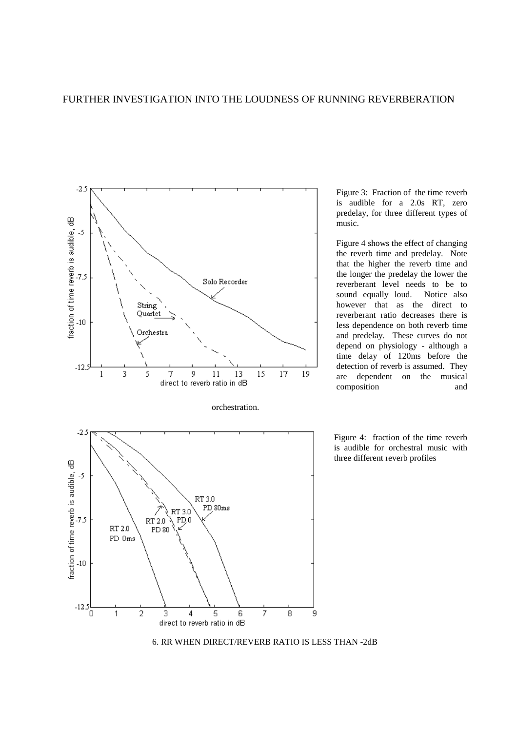

Figure 3: Fraction of the time reverb is audible for a 2.0s RT, zero predelay, for three different types of music.

Figure 4 shows the effect of changing the reverb time and predelay. Note that the higher the reverb time and the longer the predelay the lower the reverberant level needs to be to sound equally loud. Notice also however that as the direct to reverberant ratio decreases there is less dependence on both reverb time and predelay. These curves do not depend on physiology - although a time delay of 120ms before the detection of reverb is assumed. They are dependent on the musical composition and

Figure 4: fraction of the time reverb is audible for orchestral music with three different reverb profiles

6. RR WHEN DIRECT/REVERB RATIO IS LESS THAN -2dB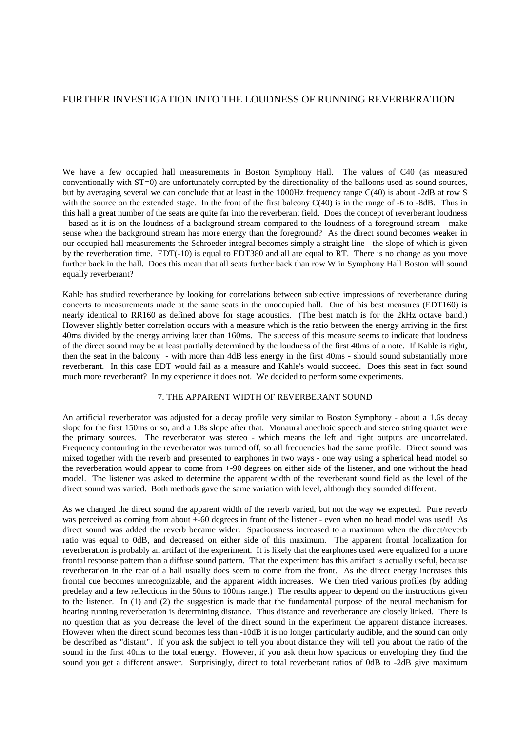We have a few occupied hall measurements in Boston Symphony Hall. The values of C40 (as measured conventionally with ST=0) are unfortunately corrupted by the directionality of the balloons used as sound sources, but by averaging several we can conclude that at least in the 1000Hz frequency range C(40) is about -2dB at row S with the source on the extended stage. In the front of the first balcony  $C(40)$  is in the range of -6 to -8dB. Thus in this hall a great number of the seats are quite far into the reverberant field. Does the concept of reverberant loudness - based as it is on the loudness of a background stream compared to the loudness of a foreground stream - make sense when the background stream has more energy than the foreground? As the direct sound becomes weaker in our occupied hall measurements the Schroeder integral becomes simply a straight line - the slope of which is given by the reverberation time. EDT(-10) is equal to EDT380 and all are equal to RT. There is no change as you move further back in the hall. Does this mean that all seats further back than row W in Symphony Hall Boston will sound equally reverberant?

Kahle has studied reverberance by looking for correlations between subjective impressions of reverberance during concerts to measurements made at the same seats in the unoccupied hall. One of his best measures (EDT160) is nearly identical to RR160 as defined above for stage acoustics. (The best match is for the 2kHz octave band.) However slightly better correlation occurs with a measure which is the ratio between the energy arriving in the first 40ms divided by the energy arriving later than 160ms. The success of this measure seems to indicate that loudness of the direct sound may be at least partially determined by the loudness of the first 40ms of a note. If Kahle is right, then the seat in the balcony - with more than 4dB less energy in the first 40ms - should sound substantially more reverberant. In this case EDT would fail as a measure and Kahle's would succeed. Does this seat in fact sound much more reverberant? In my experience it does not. We decided to perform some experiments.

## 7. THE APPARENT WIDTH OF REVERBERANT SOUND

An artificial reverberator was adjusted for a decay profile very similar to Boston Symphony - about a 1.6s decay slope for the first 150ms or so, and a 1.8s slope after that. Monaural anechoic speech and stereo string quartet were the primary sources. The reverberator was stereo - which means the left and right outputs are uncorrelated. Frequency contouring in the reverberator was turned off, so all frequencies had the same profile. Direct sound was mixed together with the reverb and presented to earphones in two ways - one way using a spherical head model so the reverberation would appear to come from +-90 degrees on either side of the listener, and one without the head model. The listener was asked to determine the apparent width of the reverberant sound field as the level of the direct sound was varied. Both methods gave the same variation with level, although they sounded different.

As we changed the direct sound the apparent width of the reverb varied, but not the way we expected. Pure reverb was perceived as coming from about  $+60$  degrees in front of the listener - even when no head model was used! As direct sound was added the reverb became wider. Spaciousness increased to a maximum when the direct/reverb ratio was equal to 0dB, and decreased on either side of this maximum. The apparent frontal localization for reverberation is probably an artifact of the experiment. It is likely that the earphones used were equalized for a more frontal response pattern than a diffuse sound pattern. That the experiment has this artifact is actually useful, because reverberation in the rear of a hall usually does seem to come from the front. As the direct energy increases this frontal cue becomes unrecognizable, and the apparent width increases. We then tried various profiles (by adding predelay and a few reflections in the 50ms to 100ms range.) The results appear to depend on the instructions given to the listener. In (1) and (2) the suggestion is made that the fundamental purpose of the neural mechanism for hearing running reverberation is determining distance. Thus distance and reverberance are closely linked. There is no question that as you decrease the level of the direct sound in the experiment the apparent distance increases. However when the direct sound becomes less than -10dB it is no longer particularly audible, and the sound can only be described as "distant". If you ask the subject to tell you about distance they will tell you about the ratio of the sound in the first 40ms to the total energy. However, if you ask them how spacious or enveloping they find the sound you get a different answer. Surprisingly, direct to total reverberant ratios of 0dB to -2dB give maximum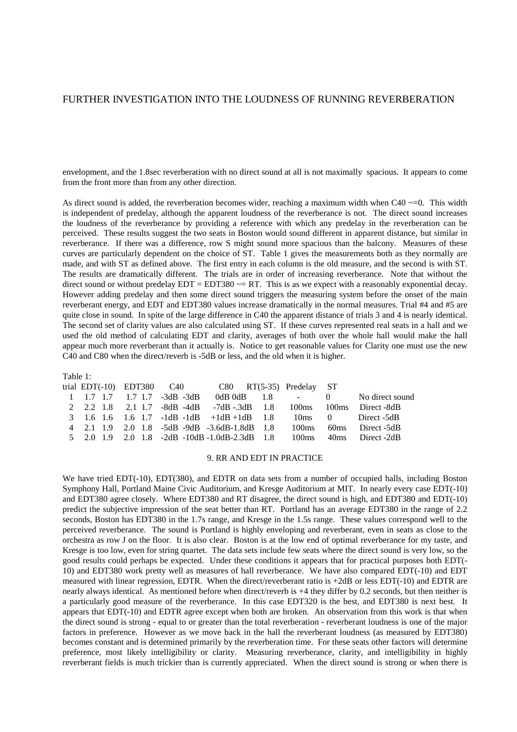envelopment, and the 1.8sec reverberation with no direct sound at all is not maximally spacious. It appears to come from the front more than from any other direction.

As direct sound is added, the reverberation becomes wider, reaching a maximum width when C40  $\sim$ =0. This width is independent of predelay, although the apparent loudness of the reverberance is not. The direct sound increases the loudness of the reverberance by providing a reference with which any predelay in the reverberation can be perceived. These results suggest the two seats in Boston would sound different in apparent distance, but similar in reverberance. If there was a difference, row S might sound more spacious than the balcony. Measures of these curves are particularly dependent on the choice of ST. Table 1 gives the measurements both as they normally are made, and with ST as defined above. The first entry in each column is the old measure, and the second is with ST. The results are dramatically different. The trials are in order of increasing reverberance. Note that without the direct sound or without predelay  $EDT = EDT380 \sim = RT$ . This is as we expect with a reasonably exponential decay. However adding predelay and then some direct sound triggers the measuring system before the onset of the main reverberant energy, and EDT and EDT380 values increase dramatically in the normal measures. Trial #4 and #5 are quite close in sound. In spite of the large difference in C40 the apparent distance of trials 3 and 4 is nearly identical. The second set of clarity values are also calculated using ST. If these curves represented real seats in a hall and we used the old method of calculating EDT and clarity, averages of both over the whole hall would make the hall appear much more reverberant than it actually is. Notice to get reasonable values for Clarity one must use the new C40 and C80 when the direct/reverb is -5dB or less, and the old when it is higher.

| Table 1: |  |                                         |                                                              |          |                                         |
|----------|--|-----------------------------------------|--------------------------------------------------------------|----------|-----------------------------------------|
|          |  |                                         | trial $EDT(-10)$ $EDT380$ $C40$ $C80$ $RT(5-35)$ Predelay ST |          |                                         |
|          |  | $1 \t1.7 \t1.7 \t1.7 \t1.7 \t-3dB -3dB$ |                                                              |          | $0dB$ $0dB$ $1.8$ $-$ 0 No direct sound |
|          |  |                                         | 2 2.2 1.8 2.1 1.7 -8dB -4dB -7dB -.3dB 1.8                   |          | 100ms 100ms Direct-8dB                  |
|          |  |                                         | 3 1.6 1.6 1.6 1.7 $-1dB -1dB +1dB +1dB$ 1.8                  |          | 10ms 0 Direct -5dB                      |
|          |  |                                         | 4 2.1 1.9 2.0 1.8 -5dB -9dB -3.6dB-1.8dB 1.8                 | $100$ ms | 60ms Direct -5dB                        |
|          |  |                                         | $5$ 2.0 1.9 2.0 1.8 -2dB -10dB -1.0dB -2.3dB 1.8             | $100$ ms | 40ms Direct -2dB                        |
|          |  |                                         |                                                              |          |                                         |

### 9. RR AND EDT IN PRACTICE

We have tried EDT(-10), EDT(380), and EDTR on data sets from a number of occupied halls, including Boston Symphony Hall, Portland Maine Civic Auditorium, and Kresge Auditorium at MIT. In nearly every case EDT(-10) and EDT380 agree closely. Where EDT380 and RT disagree, the direct sound is high, and EDT380 and EDT(-10) predict the subjective impression of the seat better than RT. Portland has an average EDT380 in the range of 2.2 seconds, Boston has EDT380 in the 1.7s range, and Kresge in the 1.5s range. These values correspond well to the perceived reverberance. The sound is Portland is highly enveloping and reverberant, even in seats as close to the orchestra as row J on the floor. It is also clear. Boston is at the low end of optimal reverberance for my taste, and Kresge is too low, even for string quartet. The data sets include few seats where the direct sound is very low, so the good results could perhaps be expected. Under these conditions it appears that for practical purposes both EDT(- 10) and EDT380 work pretty well as measures of hall reverberance. We have also compared EDT(-10) and EDT measured with linear regression, EDTR. When the direct/reverberant ratio is +2dB or less EDT(-10) and EDTR are nearly always identical. As mentioned before when direct/reverb is +4 they differ by 0.2 seconds, but then neither is a particularly good measure of the reverberance. In this case EDT320 is the best, and EDT380 is next best. It appears that EDT(-10) and EDTR agree except when both are broken. An observation from this work is that when the direct sound is strong - equal to or greater than the total reverberation - reverberant loudness is one of the major factors in preference. However as we move back in the hall the reverberant loudness (as measured by EDT380) becomes constant and is determined primarily by the reverberation time. For these seats other factors will determine preference, most likely intelligibility or clarity. Measuring reverberance, clarity, and intelligibility in highly reverberant fields is much trickier than is currently appreciated. When the direct sound is strong or when there is